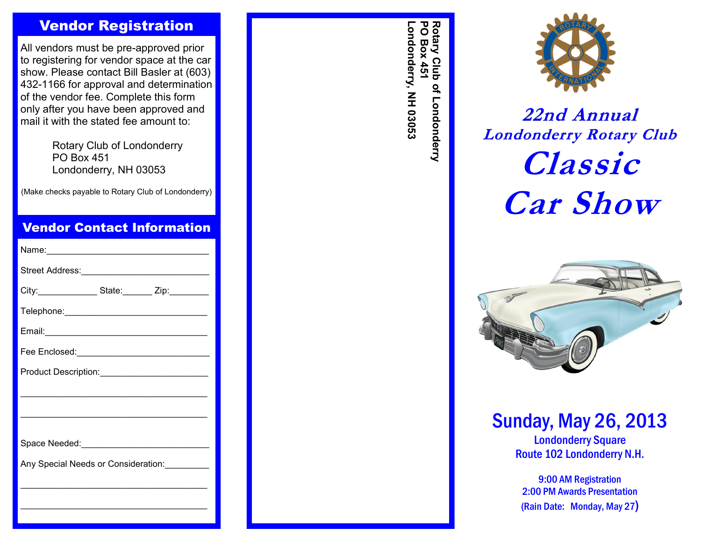## Vendor Registration

All vendors must be pre -approved prior to registering for vendor space at the car show. Please contact Bill Basler at (603) 432 -1166 for approval and determination of the vendor fee. Complete this form only after you have been approved and mail it with the stated fee amount to:

> Rotary Club of Londonderry PO Box 451 Londonderry, NH 03053

(Make checks payable to Rotary Club of Londonderry)

## Vendor Contact Information

| City:________________State:_______ Zip:_________            |  |  |
|-------------------------------------------------------------|--|--|
|                                                             |  |  |
|                                                             |  |  |
| Fee Enclosed:___________________________________            |  |  |
|                                                             |  |  |
|                                                             |  |  |
|                                                             |  |  |
|                                                             |  |  |
| Any Special Needs or Consideration:<br><u>Lettin manual</u> |  |  |
|                                                             |  |  |
|                                                             |  |  |
|                                                             |  |  |

Rotary Club<br>PO Box 451 **Londonderry, NH 03053 PO Box 451 Rotary Club of Londonderry** ondonderry, NH 03053 of Londonderry



# **22nd Annual Londonderry Rotary Club Classic Car Show**



## Sunday, May 26, 2013

Londonderry Square Route 102 Londonderry N.H.

9:00 AM Registration 2:00 PM Awards Presentation (Rain Date: Monday, May 27)